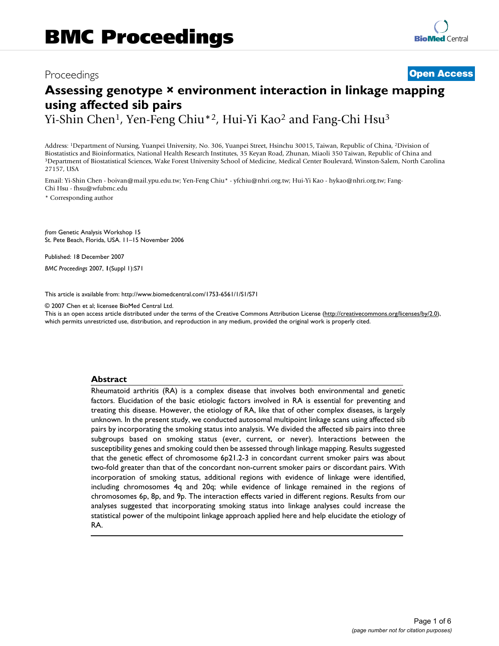## Proceedings **[Open Access](http://www.biomedcentral.com/info/about/charter/)**

# **Assessing genotype × environment interaction in linkage mapping using affected sib pairs**

Yi-Shin Chen<sup>1</sup>, Yen-Feng Chiu\*<sup>2</sup>, Hui-Yi Kao<sup>2</sup> and Fang-Chi Hsu<sup>3</sup>

Address: 1Department of Nursing, Yuanpei University, No. 306, Yuanpei Street, Hsinchu 30015, Taiwan, Republic of China, 2Division of Biostatistics and Bioinformatics, National Health Research Institutes, 35 Keyan Road, Zhunan, Miaoli 350 Taiwan, Republic of China and<br><sup>3</sup>Department of Biostatistical Sciences, Wake Forest University School of Medicine, Me 27157, USA

Email: Yi-Shin Chen - boivan@mail.ypu.edu.tw; Yen-Feng Chiu\* - yfchiu@nhri.org.tw; Hui-Yi Kao - hykao@nhri.org.tw; Fang-Chi Hsu - fhsu@wfubmc.edu

\* Corresponding author

*from* Genetic Analysis Workshop 15 St. Pete Beach, Florida, USA. 11–15 November 2006

Published: 18 December 2007

*BMC Proceedings* 2007, **1**(Suppl 1):S71

[This article is available from: http://www.biomedcentral.com/1753-6561/1/S1/S71](http://www.biomedcentral.com/1753-6561/1/S1/S71)

© 2007 Chen et al; licensee BioMed Central Ltd.

This is an open access article distributed under the terms of the Creative Commons Attribution License [\(http://creativecommons.org/licenses/by/2.0\)](http://creativecommons.org/licenses/by/2.0), which permits unrestricted use, distribution, and reproduction in any medium, provided the original work is properly cited.

#### **Abstract**

Rheumatoid arthritis (RA) is a complex disease that involves both environmental and genetic factors. Elucidation of the basic etiologic factors involved in RA is essential for preventing and treating this disease. However, the etiology of RA, like that of other complex diseases, is largely unknown. In the present study, we conducted autosomal multipoint linkage scans using affected sib pairs by incorporating the smoking status into analysis. We divided the affected sib pairs into three subgroups based on smoking status (ever, current, or never). Interactions between the susceptibility genes and smoking could then be assessed through linkage mapping. Results suggested that the genetic effect of chromosome 6p21.2-3 in concordant current smoker pairs was about two-fold greater than that of the concordant non-current smoker pairs or discordant pairs. With incorporation of smoking status, additional regions with evidence of linkage were identified, including chromosomes 4q and 20q; while evidence of linkage remained in the regions of chromosomes 6p, 8p, and 9p. The interaction effects varied in different regions. Results from our analyses suggested that incorporating smoking status into linkage analyses could increase the statistical power of the multipoint linkage approach applied here and help elucidate the etiology of RA.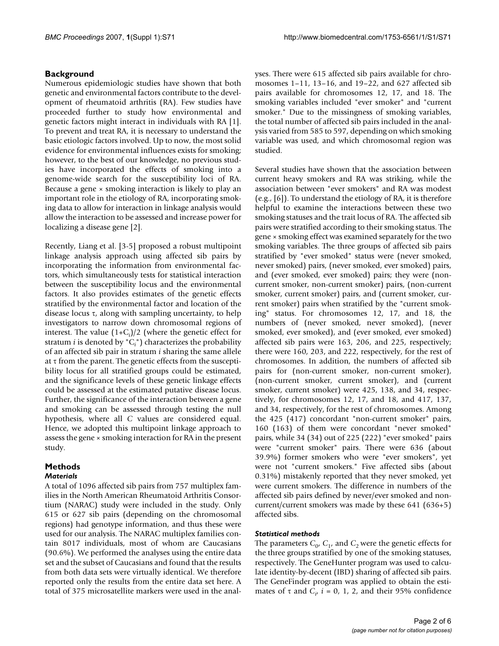### **Background**

Numerous epidemiologic studies have shown that both genetic and environmental factors contribute to the development of rheumatoid arthritis (RA). Few studies have proceeded further to study how environmental and genetic factors might interact in individuals with RA [1]. To prevent and treat RA, it is necessary to understand the basic etiologic factors involved. Up to now, the most solid evidence for environmental influences exists for smoking; however, to the best of our knowledge, no previous studies have incorporated the effects of smoking into a genome-wide search for the susceptibility loci of RA. Because a gene × smoking interaction is likely to play an important role in the etiology of RA, incorporating smoking data to allow for interaction in linkage analysis would allow the interaction to be assessed and increase power for localizing a disease gene [2].

Recently, Liang et al. [3-5] proposed a robust multipoint linkage analysis approach using affected sib pairs by incorporating the information from environmental factors, which simultaneously tests for statistical interaction between the susceptibility locus and the environmental factors. It also provides estimates of the genetic effects stratified by the environmental factor and location of the disease locus  $τ$ , along with sampling uncertainty, to help investigators to narrow down chromosomal regions of interest. The value (1+C*<sup>i</sup>* )/2 (where the genetic effect for stratum *i* is denoted by "C*<sup>i</sup>* ") characterizes the probability of an affected sib pair in stratum *i* sharing the same allele at  $\tau$  from the parent. The genetic effects from the susceptibility locus for all stratified groups could be estimated, and the significance levels of these genetic linkage effects could be assessed at the estimated putative disease locus. Further, the significance of the interaction between a gene and smoking can be assessed through testing the null hypothesis, where all *C* values are considered equal. Hence, we adopted this multipoint linkage approach to assess the gene × smoking interaction for RA in the present study.

#### **Methods** *Materials*

A total of 1096 affected sib pairs from 757 multiplex families in the North American Rheumatoid Arthritis Consortium (NARAC) study were included in the study. Only 615 or 627 sib pairs (depending on the chromosomal regions) had genotype information, and thus these were used for our analysis. The NARAC multiplex families contain 8017 individuals, most of whom are Caucasians (90.6%). We performed the analyses using the entire data set and the subset of Caucasians and found that the results from both data sets were virtually identical. We therefore reported only the results from the entire data set here. A total of 375 microsatellite markers were used in the analyses. There were 615 affected sib pairs available for chromosomes 1–11, 13–16, and 19–22, and 627 affected sib pairs available for chromosomes 12, 17, and 18. The smoking variables included "ever smoker" and "current smoker." Due to the missingness of smoking variables, the total number of affected sib pairs included in the analysis varied from 585 to 597, depending on which smoking variable was used, and which chromosomal region was studied.

Several studies have shown that the association between current heavy smokers and RA was striking, while the association between "ever smokers" and RA was modest (e.g., [6]). To understand the etiology of RA, it is therefore helpful to examine the interactions between these two smoking statuses and the trait locus of RA. The affected sib pairs were stratified according to their smoking status. The gene × smoking effect was examined separately for the two smoking variables. The three groups of affected sib pairs stratified by "ever smoked" status were (never smoked, never smoked) pairs, (never smoked, ever smoked) pairs, and (ever smoked, ever smoked) pairs; they were (noncurrent smoker, non-current smoker) pairs, (non-current smoker, current smoker) pairs, and (current smoker, current smoker) pairs when stratified by the "current smoking" status. For chromosomes 12, 17, and 18, the numbers of (never smoked, never smoked), (never smoked, ever smoked), and (ever smoked, ever smoked) affected sib pairs were 163, 206, and 225, respectively; there were 160, 203, and 222, respectively, for the rest of chromosomes. In addition, the numbers of affected sib pairs for (non-current smoker, non-current smoker), (non-current smoker, current smoker), and (current smoker, current smoker) were 425, 138, and 34, respectively, for chromosomes 12, 17, and 18, and 417, 137, and 34, respectively, for the rest of chromosomes. Among the 425 (417) concordant "non-current smoker" pairs, 160 (163) of them were concordant "never smoked" pairs, while 34 (34) out of 225 (222) "ever smoked" pairs were "current smoker" pairs. There were 636 (about 39.9%) former smokers who were "ever smokers", yet were not "current smokers." Five affected sibs (about 0.31%) mistakenly reported that they never smoked, yet were current smokers. The difference in numbers of the affected sib pairs defined by never/ever smoked and noncurrent/current smokers was made by these 641 (636+5) affected sibs.

#### *Statistical methods*

The parameters  $C_0$ ,  $C_1$ , and  $C_2$  were the genetic effects for the three groups stratified by one of the smoking statuses, respectively. The GeneHunter program was used to calculate identity-by-decent (IBD) sharing of affected sib pairs. The GeneFinder program was applied to obtain the estimates of  $\tau$  and  $C_i$ ,  $i = 0, 1, 2$ , and their 95% confidence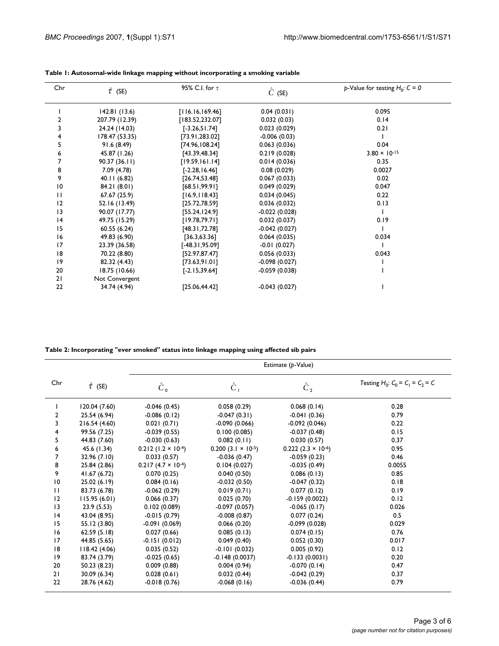| Chr             | $\hat{\tau}$ (SE) | 95% C.I. for $\tau$ | $\hat{C}$ (SE)  | p-Value for testing $H_0: C = 0$ |
|-----------------|-------------------|---------------------|-----------------|----------------------------------|
|                 | 142.81(13.6)      | [116.16, 169.46]    | 0.04(0.031)     | 0.095                            |
| 2               | 207.79 (12.39)    | [183.52, 232.07]    | 0.032(0.03)     | 0.14                             |
| 3               | 24.24 (14.03)     | $[-3.26, 51.74]$    | 0.023(0.029)    | 0.21                             |
| 4               | 178.47 (53.35)    | [73.91, 283.02]     | $-0.006(0.03)$  |                                  |
| 5               | 91.6(8.49)        | [74.96, 108.24]     | 0.063(0.036)    | 0.04                             |
| 6               | 45.87 (1.26)      | [43.39, 48.34]      | 0.219(0.028)    | $3.80 \times 10^{-15}$           |
| 7               | 90.37(36.11)      | [19.59, 161.14]     | 0.014(0.036)    | 0.35                             |
| 8               | 7.09 (4.78)       | $[-2.28, 16.46]$    | 0.08(0.029)     | 0.0027                           |
| 9               | 40.11(6.82)       | [26.74, 53.48]      | 0.067(0.033)    | 0.02                             |
| $\overline{10}$ | 84.21 (8.01)      | [68.51, 99.91]      | 0.049(0.029)    | 0.047                            |
| $\mathbf{H}$    | 67.67 (25.9)      | [16.9, 118.43]      | 0.034(0.045)    | 0.22                             |
| 12              | 52.16 (13.49)     | [25.72, 78.59]      | 0.036(0.032)    | 0.13                             |
| 3               | 90.07 (17.77)     | [55.24, 124.9]      | $-0.022(0.028)$ |                                  |
| 4               | 49.75 (15.29)     | [19.78, 79.71]      | 0.032(0.037)    | 0.19                             |
| 15              | 60.55(6.24)       | [48.31, 72.78]      | $-0.042(0.027)$ |                                  |
| 16              | 49.83 (6.90)      | [36.3, 63.36]       | 0.064(0.035)    | 0.034                            |
| 17              | 23.39 (36.58)     | $[-48.31, 95.09]$   | $-0.01(0.027)$  |                                  |
| 18              | 70.22 (8.80)      | [52.97, 87.47]      | 0.056(0.033)    | 0.043                            |
| 9               | 82.32 (4.43)      | [73.63, 91.01]      | $-0.098(0.027)$ |                                  |
| 20              | 18.75 (10.66)     | $[-2.15, 39.64]$    | $-0.059(0.038)$ |                                  |
| 21              | Not Convergent    |                     |                 |                                  |
| 22              | 34.74 (4.94)      | [25.06, 44.42]      | $-0.043(0.027)$ |                                  |

**Table 2: Incorporating "ever smoked" status into linkage mapping using affected sib pairs**

|                |                   | Estimate (p-Value)          |                             |                      |                                    |
|----------------|-------------------|-----------------------------|-----------------------------|----------------------|------------------------------------|
| Chr            | $\hat{\tau}$ (SE) | $\hat{C}_0$                 | $\hat{C}_1$                 | $\hat{C}_2$          | Testing $H_0: C_0 = C_1 = C_2 = C$ |
|                | 120.04 (7.60)     | $-0.046(0.45)$              | 0.058(0.29)                 | 0.068(0.14)          | 0.28                               |
| $\overline{2}$ | 25.54 (6.94)      | $-0.086(0.12)$              | $-0.047(0.31)$              | $-0.041(0.36)$       | 0.79                               |
| 3              | 216.54 (4.60)     | 0.021(0.71)                 | $-0.090(0.066)$             | $-0.092(0.046)$      | 0.22                               |
| 4              | 99.56 (7.25)      | $-0.039(0.55)$              | 0.100(0.085)                | $-0.037(0.48)$       | 0.15                               |
| 5              | 44.83 (7.60)      | $-0.030(0.63)$              | 0.082(0.11)                 | 0.030(0.57)          | 0.37                               |
| 6              | 45.6 (1.34)       | $0.212$ (1.2 × 10-4)        | $0.200(3.1 \times 10^{-5})$ | $0.222$ (2.3 × 10-6) | 0.95                               |
| 7              | 32.96(7.10)       | 0.033(0.57)                 | $-0.036(0.47)$              | $-0.059(0.23)$       | 0.46                               |
| 8              | 25.84 (2.86)      | $0.217(4.7 \times 10^{-4})$ | 0.104(0.027)                | $-0.035(0.49)$       | 0.0055                             |
| 9              | 41.67 (6.72)      | 0.070(0.25)                 | 0.040(0.50)                 | 0.086(0.13)          | 0.85                               |
| 10             | 25.02 (6.19)      | 0.084(0.16)                 | $-0.032(0.50)$              | $-0.047(0.32)$       | 0.18                               |
| $\mathbf{H}$   | 83.73 (6.78)      | $-0.062(0.29)$              | 0.019(0.71)                 | 0.077(0.12)          | 0.19                               |
| 12             | 115.95(6.01)      | 0.066(0.37)                 | 0.025(0.70)                 | $-0.159(0.0022)$     | 0.12                               |
| 3              | 23.9(5.53)        | 0.102(0.089)                | $-0.097(0.057)$             | $-0.065(0.17)$       | 0.026                              |
| 4              | 43.04 (8.95)      | $-0.015(0.79)$              | $-0.008(0.87)$              | 0.077(0.24)          | 0.5                                |
| 15             | 55.12 (3.80)      | $-0.091(0.069)$             | 0.066(0.20)                 | $-0.099(0.028)$      | 0.029                              |
| 16             | 62.59(5.18)       | 0.027(0.66)                 | 0.085(0.13)                 | 0.074(0.15)          | 0.76                               |
| 17             | 44.85 (5.65)      | $-0.151(0.012)$             | 0.049(0.40)                 | 0.052(0.30)          | 0.017                              |
| 18             | 118.42 (4.06)     | 0.035(0.52)                 | $-0.101(0.032)$             | 0.005(0.92)          | 0.12                               |
| 9              | 83.74 (3.79)      | $-0.025(0.65)$              | $-0.148(0.0037)$            | $-0.133(0.0031)$     | 0.20                               |
| 20             | 50.23 (8.23)      | 0.009(0.88)                 | 0.004(0.94)                 | $-0.070(0.14)$       | 0.47                               |
| 21             | 30.09 (6.34)      | 0.028(0.61)                 | 0.032(0.44)                 | $-0.042(0.29)$       | 0.37                               |
| 22             | 28.76 (4.62)      | $-0.018(0.76)$              | $-0.068(0.16)$              | $-0.036(0.44)$       | 0.79                               |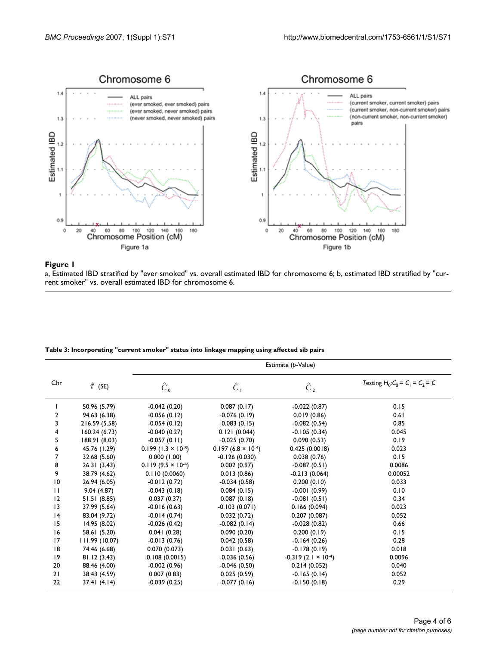

### trent smoker" vs. overall estimated IBD stratified by "ever smoked mated iBD stratified by "ever smoked mated i<br>IBD for chromosome 6; b, estimated IBD for chromosome 6; b, estimated by "cur---------------------------------

a, Estimated IBD stratified by "ever smoked" vs. overall estimated IBD for chromosome 6; b, estimated IBD stratified by "current smoker" vs. overall estimated IBD for chromosome 6.

| Table 3: Incorporating "current smoker" status into linkage mapping using affected sib pairs |  |  |  |
|----------------------------------------------------------------------------------------------|--|--|--|
|                                                                                              |  |  |  |

|                 |                   | Estimate (p-Value)          |                             |                              |                                    |  |
|-----------------|-------------------|-----------------------------|-----------------------------|------------------------------|------------------------------------|--|
| Chr             | $\hat{\tau}$ (SE) | $\hat{C}_0$                 | $\hat{C}_1$                 | $\hat{C}_2$                  | Testing $H_0: C_0 = C_1 = C_2 = C$ |  |
|                 | 50.96 (5.79)      | $-0.042(0.20)$              | 0.087(0.17)                 | $-0.022(0.87)$               | 0.15                               |  |
| 2               | 94.63 (6.38)      | $-0.056(0.12)$              | $-0.076(0.19)$              | 0.019(0.86)                  | 0.61                               |  |
| 3               | 216.59 (5.58)     | $-0.054(0.12)$              | $-0.083(0.15)$              | $-0.082(0.54)$               | 0.85                               |  |
| 4               | 160.24(6.73)      | $-0.040(0.27)$              | 0.121(0.044)                | $-0.105(0.34)$               | 0.045                              |  |
| 5               | 188.91 (8.03)     | $-0.057(0.11)$              | $-0.025(0.70)$              | 0.090(0.53)                  | 0.19                               |  |
| 6               | 45.76 (1.29)      | $0.199(1.3 \times 10^{-8})$ | $0.197(6.8 \times 10^{-4})$ | 0.425(0.0018)                | 0.023                              |  |
| 7               | 32.68 (5.60)      | 0.000(1.00)                 | $-0.126(0.030)$             | 0.038(0.76)                  | 0.15                               |  |
| 8               | 26.31(3.43)       | $0.119(9.5 \times 10^{-4})$ | 0.002(0.97)                 | $-0.087(0.51)$               | 0.0086                             |  |
| 9               | 38.79 (4.62)      | 0.110(0.0060)               | 0.013(0.86)                 | $-0.213(0.064)$              | 0.00052                            |  |
| $\overline{10}$ | 26.94 (6.05)      | $-0.012(0.72)$              | $-0.034(0.58)$              | 0.200(0.10)                  | 0.033                              |  |
| $\mathbf{H}$    | 9.04(4.87)        | $-0.043(0.18)$              | 0.084(0.15)                 | $-0.001(0.99)$               | 0.10                               |  |
| $ 2\rangle$     | 51.51(8.85)       | 0.037(0.37)                 | 0.087(0.18)                 | $-0.081(0.51)$               | 0.34                               |  |
| 3               | 37.99 (5.64)      | $-0.016(0.63)$              | $-0.103(0.071)$             | 0.166(0.094)                 | 0.023                              |  |
| 4               | 83.04 (9.72)      | $-0.014(0.74)$              | 0.032(0.72)                 | 0.207(0.087)                 | 0.052                              |  |
| 15              | 14.95 (8.02)      | $-0.026(0.42)$              | $-0.082(0.14)$              | $-0.028(0.82)$               | 0.66                               |  |
| 16              | 58.61 (5.20)      | 0.041(0.28)                 | 0.090(0.20)                 | 0.200(0.19)                  | 0.15                               |  |
| 17              | 111.99(10.07)     | $-0.013(0.76)$              | 0.042(0.58)                 | $-0.164(0.26)$               | 0.28                               |  |
| 18              | 74.46 (6.68)      | 0.070(0.073)                | 0.031(0.63)                 | $-0.178(0.19)$               | 0.018                              |  |
| 9               | 81.12 (3.43)      | $-0.108(0.0015)$            | $-0.036(0.56)$              | $-0.319(2.1 \times 10^{-4})$ | 0.0096                             |  |
| 20              | 88.46 (4.00)      | $-0.002(0.96)$              | $-0.046(0.50)$              | 0.214(0.052)                 | 0.040                              |  |
| 21              | 38.43 (4.59)      | 0.007(0.83)                 | 0.025(0.59)                 | $-0.165(0.14)$               | 0.052                              |  |
| 22              | 37.41(4.14)       | $-0.039(0.25)$              | $-0.077(0.16)$              | $-0.150(0.18)$               | 0.29                               |  |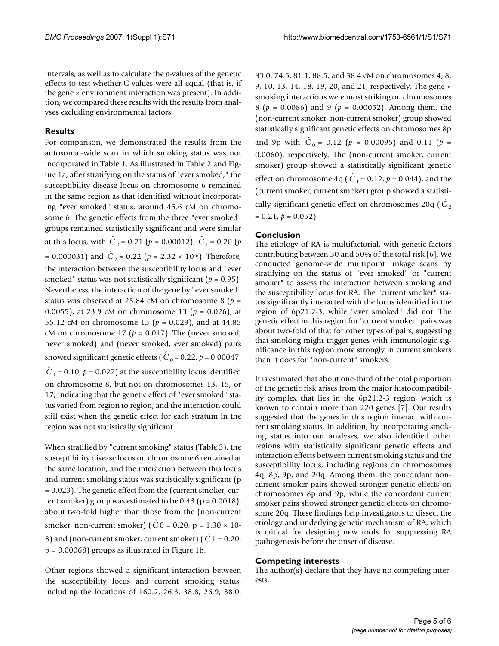intervals, as well as to calculate the *p*-values of the genetic effects to test whether C values were all equal (that is, if the gene × environment interaction was present). In addition, we compared these results with the results from analyses excluding environmental factors.

#### **Results**

For comparison, we demonstrated the results from the autosomal-wide scan in which smoking status was not incorporated in Table 1. As illustrated in Table 2 and Figure 1a, after stratifying on the status of "ever smoked," the susceptibility disease locus on chromosome 6 remained in the same region as that identified without incorporating "ever smoked" status, around 45.6 cM on chromosome 6. The genetic effects from the three "ever smoked" groups remained statistically significant and were similar at this locus, with  $\hat{C}_0 = 0.21$  ( $p = 0.00012$ ),  $\hat{C}_1 = 0.20$  ( $p$  $= 0.000031$ ) and  $\hat{C}_2 = 0.22$  ( $p = 2.32 \times 10^{-6}$ ). Therefore, the interaction between the susceptibility locus and "ever smoked" status was not statistically significant (*p* = 0.95). Nevertheless, the interaction of the gene by "ever smoked" status was observed at 25.84 cM on chromosome 8 (*p* = 0.0055), at 23.9 cM on chromosome 13 (*p* = 0.026), at 55.12 cM on chromosome 15 (*p* = 0.029), and at 44.85 cM on chromosome 17 ( $p = 0.017$ ). The (never smoked, never smoked) and (never smoked, ever smoked) pairs showed significant genetic effects ( $\hat{C}_0$  = 0.22,  $p$  = 0.00047;  $\hat{C}_1$  = 0.10,  $p$  = 0.027) at the susceptibility locus identified on chromosome 8, but not on chromosomes 13, 15, or 17, indicating that the genetic effect of "ever smoked" status varied from region to region, and the interaction could still exist when the genetic effect for each stratum in the region was not statistically significant.

When stratified by "current smoking" status (Table 3), the susceptibility disease locus on chromosome 6 remained at the same location, and the interaction between this locus and current smoking status was statistically significant (p = 0.023). The genetic effect from the (current smoker, current smoker) group was estimated to be  $0.43$  (p =  $0.0018$ ), about two-fold higher than those from the (non-current smoker, non-current smoker) ( $\hat{C}$ 0 = 0.20, p = 1.30 × 10-8) and (non-current smoker, current smoker) ( $\hat{C}$  1 = 0.20, p = 0.00068) groups as illustrated in Figure 1b.

Other regions showed a significant interaction between the susceptibility locus and current smoking status, including the locations of 160.2, 26.3, 38.8, 26.9, 38.0,

83.0, 74.5, 81.1, 88.5, and 38.4 cM on chromosomes 4, 8, 9, 10, 13, 14, 18, 19, 20, and 21, respectively. The gene × smoking interactions were most striking on chromosomes 8 (*p* = 0.0086) and 9 (*p* = 0.00052). Among them, the (non-current smoker, non-current smoker) group showed statistically significant genetic effects on chromosomes 8p and 9p with  $\hat{C}_0 = 0.12$  ( $p = 0.00095$ ) and 0.11 ( $p =$ 0.0060), respectively. The (non-current smoker, current smoker) group showed a statistically significant genetic effect on chromosome 4q ( $\hat{C}_1$  = 0.12,  $p$  = 0.044), and the (current smoker, current smoker) group showed a statistically significant genetic effect on chromosomes 20q ( $\hat{C}_2$  $= 0.21, p = 0.052$ .

### **Conclusion**

The etiology of RA is multifactorial, with genetic factors contributing between 30 and 50% of the total risk [6]. We conducted genome-wide multipoint linkage scans by stratifying on the status of "ever smoked" or "current smoker" to assess the interaction between smoking and the susceptibility locus for RA. The "current smoker" status significantly interacted with the locus identified in the region of 6p21.2-3, while "ever smoked" did not. The genetic effect in this region for "current smoker" pairs was about two-fold of that for other types of pairs, suggesting that smoking might trigger genes with immunologic significance in this region more strongly in current smokers than it does for "non-current" smokers.

It is estimated that about one-third of the total proportion of the genetic risk arises from the major histocompatibility complex that lies in the 6p21.2-3 region, which is known to contain more than 220 genes [7]. Our results suggested that the genes in this region interact with current smoking status. In addition, by incorporating smoking status into our analyses, we also identified other regions with statistically significant genetic effects and interaction effects between current smoking status and the susceptibility locus, including regions on chromosomes 4q, 8p, 9p, and 20q. Among them, the concordant noncurrent smoker pairs showed stronger genetic effects on chromosomes 8p and 9p, while the concordant current smoker pairs showed stronger genetic effects on chromosome 20q. These findings help investigators to dissect the etiology and underlying genetic mechanism of RA, which is critical for designing new tools for suppressing RA pathogenesis before the onset of disease.

#### **Competing interests**

The author(s) declare that they have no competing interests.